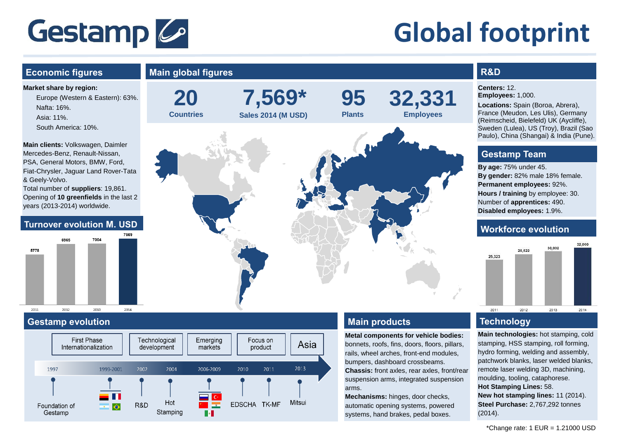# Gestamp 6

# **Global footprint**

## **Market share by region:**  Europe (Western & Eastern): 63%. Nafta: 16%. Asia: 11%. South America: 10%. **Main clients:** Volkswagen, Daimler Mercedes-Benz, Renault-Nissan, PSA, General Motors, BMW, Ford, Fiat-Chrysler, Jaguar Land Rover-Tata & Geely-Volvo. Total number of **suppliers**: 19,861. Opening of **10 greenfields** in the last 2 years (2013-2014) worldwide. COCE 7004 5779 2011  $2012$ 2013 2014

#### **Gestamp evolution Technology**





### **Main products**

**Metal components for vehicle bodies:** bonnets, roofs, fins, doors, floors, pillars, rails, wheel arches, front-end modules, bumpers, dashboard crossbeams. **Chassis:** front axles, rear axles, front/rear suspension arms, integrated suspension arms.

**Mechanisms:** hinges, door checks, automatic opening systems, powered systems, hand brakes, pedal boxes.

### **R&D**

**Centers:** 12. **Employees:** 1,000.

**Locations:** Spain (Boroa, Abrera), France (Meudon, Les Ulis), Germany (Reimscheid, Bielefeld) UK (Aycliffe), Sweden (Lulea), US (Troy), Brazil (Sao Paulo), China (Shangai) & India (Pune).

#### **Gestamp Team**

**By age:** 75% under 45. **By gender:** 82% male 18% female. **Permanent employees:** 92%. **Hours / training** by employee: 30. Number of **apprentices:** 490. **Disabled employees:** 1.9%.



**Main technologies:** hot stamping, cold stamping, HSS stamping, roll forming, hydro forming, welding and assembly, patchwork blanks, laser welded blanks, remote laser welding 3D, machining, moulding, tooling, cataphorese. **Hot Stamping Lines:** 58. **New hot stamping lines:** 11 (2014). **Steel Purchase:** 2,767,292 tonnes (2014).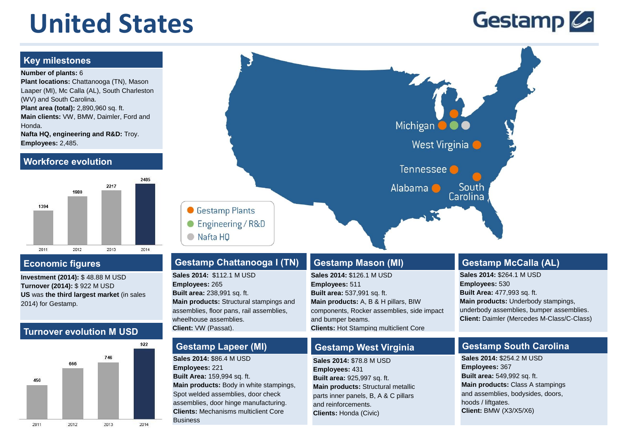# **United States**

## Gestamp 6

#### **Key milestones**

#### **Number of plants:** 6

**Plant locations:** Chattanooga (TN), Mason Laaper (MI), Mc Calla (AL), South Charleston (WV) and South Carolina. **Plant area (total):** 2,890,960 sq. ft. **Main clients:** VW, BMW, Daimler, Ford and Honda. **Nafta HQ, engineering and R&D:** Troy. **Employees:** 2,485.

#### **Workforce evolution**



**Investment (2014):** \$ 48.88 M USD **Turnover (2014):** \$ 922 M USD **US** was **the third largest market** (in sales 2014) for Gestamp.

#### **Turnover evolution M USD**





### **Gestamp Chattanooga I (TN) Economic figures Gestamp Mason (MI)**

**Sales 2014:** \$112.1 M USD **Employees:** 265 **Built area:** 238,991 sq. ft. **Main products:** Structural stampings and assemblies, floor pans, rail assemblies, wheelhouse assemblies. **Client:** VW (Passat).

#### **Gestamp Lapeer (MI)**

**Sales 2014:** \$86.4 M USD **Employees:** 221 **Built Area:** 159,994 sq. ft. **Main products:** Body in white stampings, Spot welded assemblies, door check assemblies, door hinge manufacturing. **Clients:** Mechanisms multiclient Core Business

**Sales 2014:** \$126.1 M USD **Employees:** 511 **Built area:** 537,991 sq. ft. **Main products:** A, B & H pillars, BIW components, Rocker assemblies, side impact and bumper beams. **Clients:** Hot Stamping multiclient Core

#### **Gestamp West Virginia**

Business.

**Sales 2014:** \$78.8 M USD **Employees:** 431 **Built area:** 925,997 sq. ft. **Main products:** Structural metallic parts inner panels, B, A & C pillars and reinforcements. **Clients:** Honda (Civic)

#### **Gestamp McCalla (AL)**

South

Carolina

**Sales 2014:** \$264.1 M USD **Employees:** 530 **Built Area:** 477,993 sq. ft. **Main products:** Underbody stampings, underbody assemblies, bumper assemblies. **Client:** Daimler (Mercedes M-Class/C-Class)

#### **Gestamp South Carolina**

**Sales 2014:** \$254.2 M USD **Employees:** 367 **Built area:** 549,992 sq. ft. **Main products:** Class A stampings and assemblies, bodysides, doors, hoods / liftgates. **Client:** BMW (X3/X5/X6)